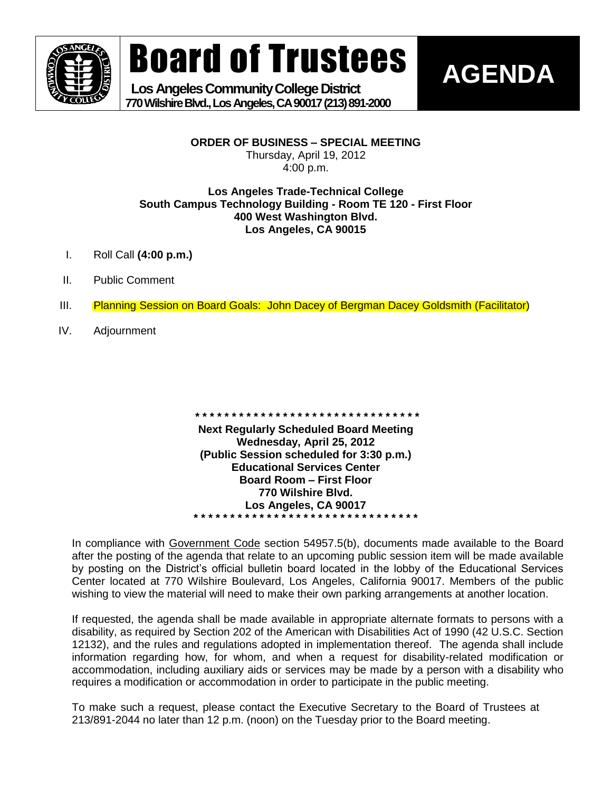

Board of Trustees

 **Los Angeles Community College District 770 Wilshire Blvd., Los Angeles, CA 90017 (213) 891-2000** **AGENDA**

**ORDER OF BUSINESS – SPECIAL MEETING**

Thursday, April 19, 2012 4:00 p.m.

### **Los Angeles Trade-Technical College South Campus Technology Building - Room TE 120 - First Floor 400 West Washington Blvd. Los Angeles, CA 90015**

- I. Roll Call **(4:00 p.m.)**
- II. Public Comment
- III. Planning Session on Board Goals: John Dacey of Bergman Dacey Goldsmith (Facilitator)
- IV. Adjournment

**\* \* \* \* \* \* \* \* \* \* \* \* \* \* \* \* \* \* \* \* \* \* \* \* \* \* \* \* \* \* \* Next Regularly Scheduled Board Meeting Wednesday, April 25, 2012 (Public Session scheduled for 3:30 p.m.) Educational Services Center Board Room – First Floor 770 Wilshire Blvd. Los Angeles, CA 90017 \* \* \* \* \* \* \* \* \* \* \* \* \* \* \* \* \* \* \* \* \* \* \* \* \* \* \* \* \* \* \***

In compliance with Government Code section 54957.5(b), documents made available to the Board after the posting of the agenda that relate to an upcoming public session item will be made available by posting on the District's official bulletin board located in the lobby of the Educational Services Center located at 770 Wilshire Boulevard, Los Angeles, California 90017. Members of the public wishing to view the material will need to make their own parking arrangements at another location.

If requested, the agenda shall be made available in appropriate alternate formats to persons with a disability, as required by Section 202 of the American with Disabilities Act of 1990 (42 U.S.C. Section 12132), and the rules and regulations adopted in implementation thereof. The agenda shall include information regarding how, for whom, and when a request for disability-related modification or accommodation, including auxiliary aids or services may be made by a person with a disability who requires a modification or accommodation in order to participate in the public meeting.

To make such a request, please contact the Executive Secretary to the Board of Trustees at 213/891-2044 no later than 12 p.m. (noon) on the Tuesday prior to the Board meeting.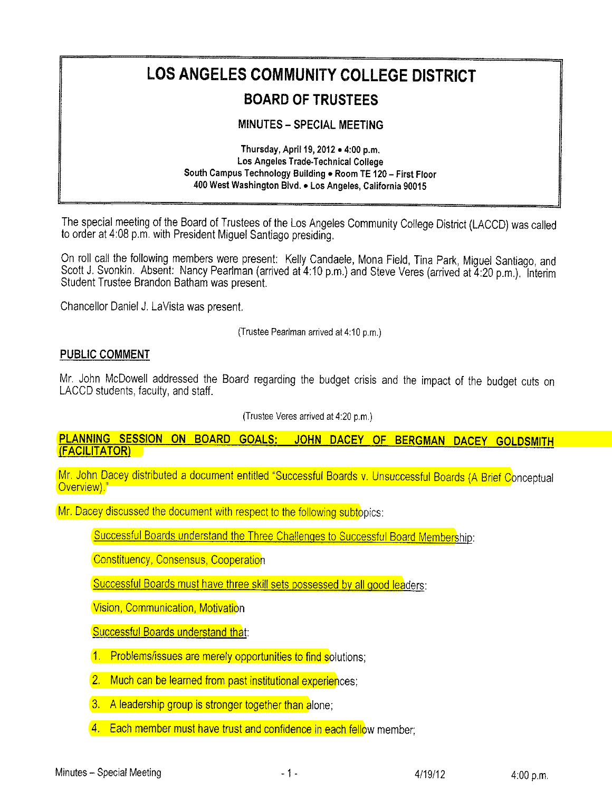## LOS ANGELES COMMUNITY COLLEGE DISTRICT

## BOARD OF TRUSTEES

## MINUTES-SPECIAL MEETING

Thursday, April 19, 2012 . 4:00 p.m. Los Angeles Trade-Technical College South Campus Technology Building . Room TE 120 - First Floor 400 West Washington Blvd. . Los Angeles, California 90015

The special meeting of the Board of Trustees of the Los Angeles Community College District (LACCD) was called to order at 4:08 p.m, with President Migue! Santiago presiding.

On roll call the following members were present: Kelly Candaele, Mona Field, Tina Park, Miguel Santiago, and Scott J. Svonkin. Absent: Nancy Pearlman (arrived at 4:10 p.m.) and Steve Veres (arrived at 4:20 p.m.). Interim Student Trustee Brandon Batham was present.

Chancellor Daniei J, LaVista was present.

(Trustee Peariman arrived at4:10 p,m.

## PUBLIC COMMENT

Mr, John McDowell addressed the Board regarding the budget crisis and the impact of the budget cuts on LACCD students, facuity, and staff.

(Trustee Veres arrived at 4:20 p.m,

PLANNING SESSION ON BOARD GOALS: JOHN DACEY OF BERGMAN DACEY GOLDSMITH (FACILITATOR)

Mr. John Dacey distributed a document entitled "Successful Boards v. Unsuccessful Boards (A Brief Conceptual<br>Overview)."

Mr. Dacey discussed the document with respect to the following subtopics:

Successful Boards understand the Three Challenges to Successful Board Membership:

Constituency, Consensus, Cooperation

Successful Boards must have three skill sets possessed by all good leaders:

Vision, Communication, Motivation

**Successful Boards understand that:** 

- 1. Problems/issues are merely opportunities to find solutions;
- 2. Much can be learned from past institutional experiences;
- 3. A leadership group is stronger together than alone;
- 4. Each member must have trust and confidence in each fellow member;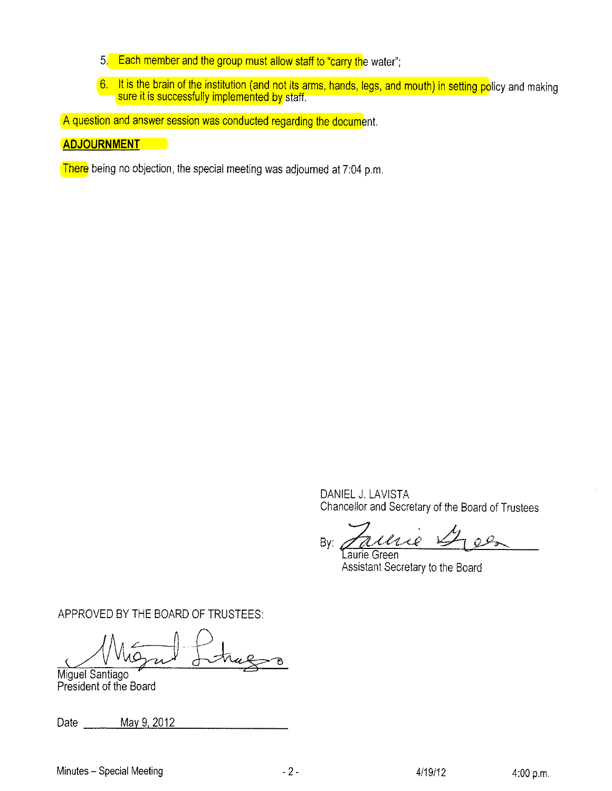- 5. Each member and the group must ailow staff to "carry the water";
- 6. It is the brain of the institution (and not its arms, hands, legs, and mouth) in setting po sure it is successfully implemented by

A question and answer session was conducted regarding the document.

## ADJOURNMENT

There being no objection, the special meeting was adjourned at 7:04 p.m.

DANIEL J. LAVISTA Chancelior and Secretary of the Board of Trustees

h By: Taurie Green

Laurie Green Assistant Secretary to the Board

APPROVED BY THE BOARD OF TRUSTEES:<br>
Who miguel Santiago

Miguel Santiago President of the Board

Date \_\_\_\_\_\_\_ May 9, 2012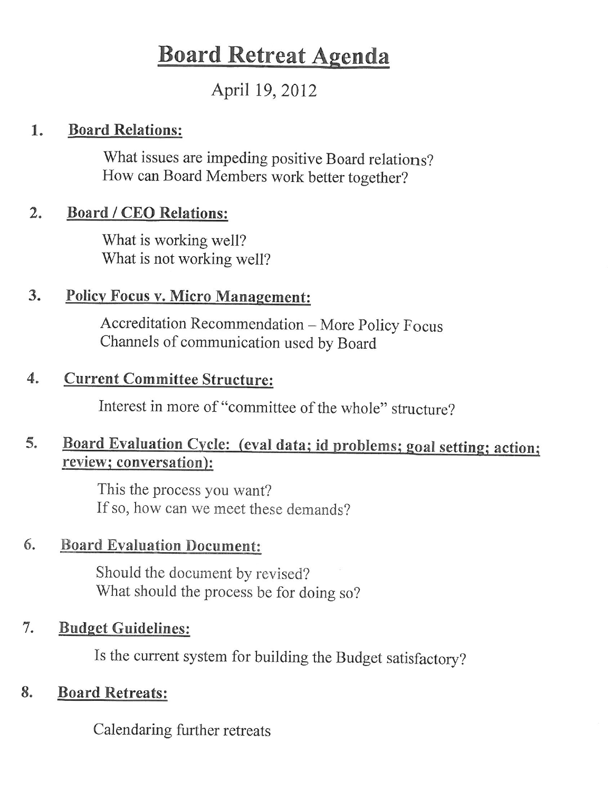# **Board Retreat Agenda**

## April 19, 2012

#### **Board Relations:** 1.

What issues are impeding positive Board relations? How can Board Members work better together?

#### **Board / CEO Relations:**  $2.$

What is working well? What is not working well?

#### 3. **Policy Focus v. Micro Management:**

Accreditation Recommendation - More Policy Focus Channels of communication used by Board

#### **Current Committee Structure:** 4.

Interest in more of "committee of the whole" structure?

### Board Evaluation Cycle: (eval data; id problems; goal setting; action; 5. review; conversation):

This the process you want? If so, how can we meet these demands?

#### 6. **Board Evaluation Document:**

Should the document by revised? What should the process be for doing so?

#### 7. **Budget Guidelines:**

Is the current system for building the Budget satisfactory?

#### **Board Retreats:** 8.

Calendaring further retreats